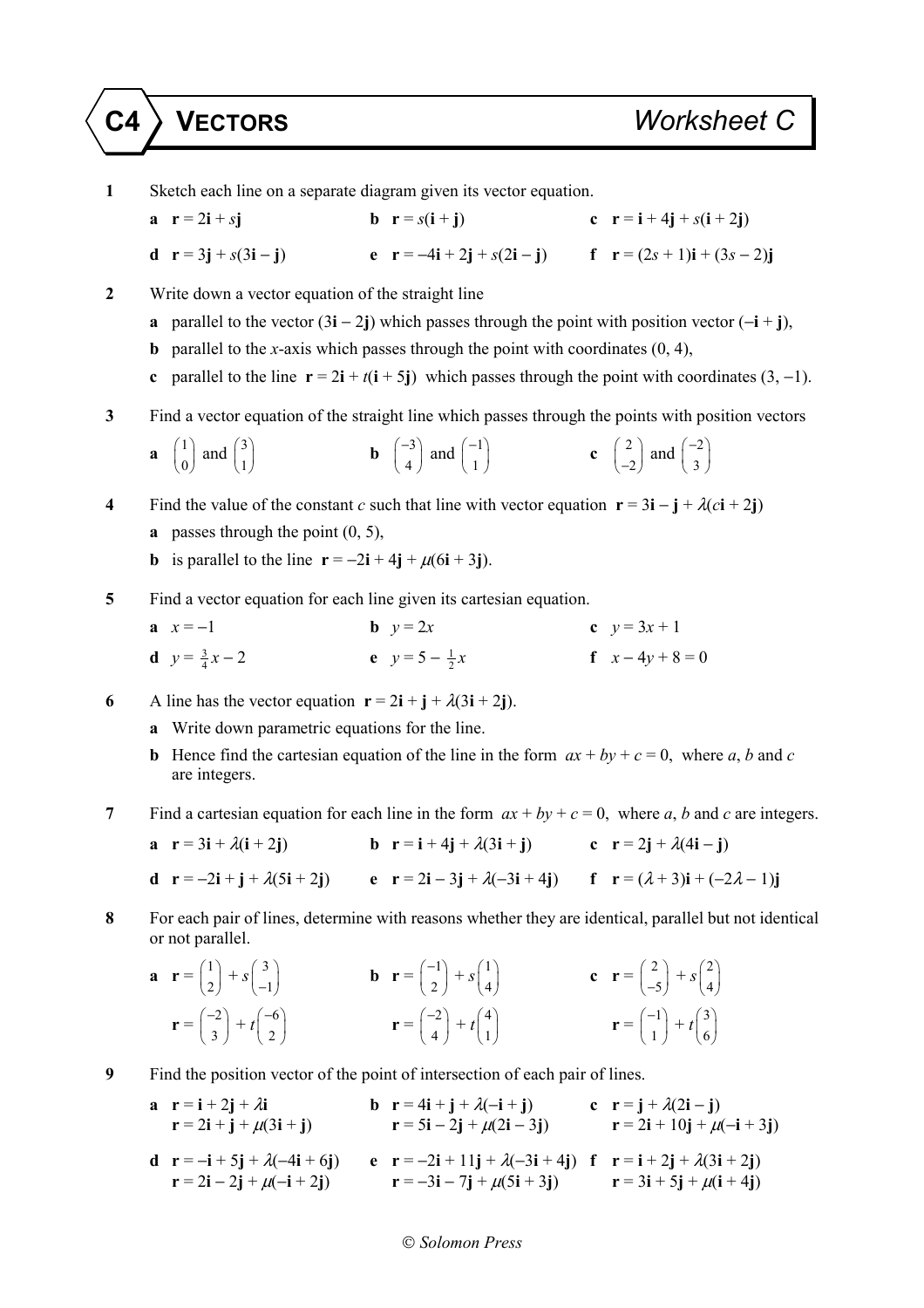- **1** Sketch each line on a separate diagram given its vector equation.
	- **a**  $\mathbf{r} = 2\mathbf{i} + s\mathbf{j}$  **b**  $\mathbf{r} = s(\mathbf{i} + \mathbf{j})$  **c**  $\mathbf{r} = \mathbf{i} + 4\mathbf{j} + s(\mathbf{i} + 2\mathbf{j})$ **d**  $\mathbf{r} = 3\mathbf{i} + s(3\mathbf{i} - \mathbf{i})$  **e**  $\mathbf{r} = -4\mathbf{i} + 2\mathbf{i} + s(2\mathbf{i} - \mathbf{i})$  **f**  $\mathbf{r} = (2s + 1)\mathbf{i} + (3s - 2)\mathbf{i}$
- **2** Write down a vector equation of the straight line
	- **a** parallel to the vector  $(3\mathbf{i} 2\mathbf{j})$  which passes through the point with position vector  $(-\mathbf{i} + \mathbf{j})$ ,
	- **b** parallel to the *x*-axis which passes through the point with coordinates (0, 4),
	- **c** parallel to the line  $\mathbf{r} = 2\mathbf{i} + t(\mathbf{i} + 5\mathbf{j})$  which passes through the point with coordinates (3, -1).
- **3** Find a vector equation of the straight line which passes through the points with position vectors
	- **a**  $\begin{pmatrix} 1 \\ 0 \end{pmatrix}$  $\begin{pmatrix} 1 \\ 0 \end{pmatrix}$  and  $\begin{pmatrix} 3 \\ 1 \end{pmatrix}$ **b**  $\begin{pmatrix} -3 \\ 4 \end{pmatrix}$  $(-3)$  $\binom{4}{}$ and  $\begin{pmatrix} -1 \\ 1 \end{pmatrix}$  $(-1)$  $\begin{pmatrix} -1 \\ 1 \end{pmatrix}$  **c**  $\begin{pmatrix} 2 \\ -2 \end{pmatrix}$  $\begin{pmatrix} 2 \\ -2 \end{pmatrix}$  and  $\begin{pmatrix} -2 \\ 3 \end{pmatrix}$  $(-2)$  $\binom{3}{}$

**4** Find the value of the constant *c* such that line with vector equation  $\mathbf{r} = 3\mathbf{i} - \mathbf{j} + \lambda(c\mathbf{i} + 2\mathbf{j})$ 

- **a** passes through the point  $(0, 5)$ ,
- **b** is parallel to the line  $\mathbf{r} = -2\mathbf{i} + 4\mathbf{j} + \mu(6\mathbf{i} + 3\mathbf{j}).$
- **5** Find a vector equation for each line given its cartesian equation.
	- **a**  $x = -1$  **b**  $y = 2x$  **c**  $y = 3x + 1$ **d**  $y = \frac{3}{4}x - 2$ **e**  $y = 5 - \frac{1}{2}x$  **f**  $x - 4y + 8 = 0$
- **6** A line has the vector equation  $\mathbf{r} = 2\mathbf{i} + \mathbf{j} + \lambda(3\mathbf{i} + 2\mathbf{j})$ .
	- **a** Write down parametric equations for the line.
	- **b** Hence find the cartesian equation of the line in the form  $ax + by + c = 0$ , where *a*, *b* and *c* are integers.
- **7** Find a cartesian equation for each line in the form  $ax + by + c = 0$ , where *a*, *b* and *c* are integers.
	- **a r** = 3**i** +  $\lambda$ (**i** + 2**j**) **b r** = **i** + 4**j** +  $\lambda$ (3**i** + **j**) **c r** = 2**j** +  $\lambda$ (4**i** − **j**) **d r** = −2**i** + **j** +  $\lambda$ (5**i** + 2**j**) **e r** = 2**i** − 3**j** +  $\lambda$ (−3**i** + 4**j**) **f r** = ( $\lambda$ +3)**i** + (−2 $\lambda$ − 1)**j**
- **8** For each pair of lines, determine with reasons whether they are identical, parallel but not identical or not parallel.

$$
\mathbf{a} \quad \mathbf{r} = \begin{pmatrix} 1 \\ 2 \end{pmatrix} + s \begin{pmatrix} 3 \\ -1 \end{pmatrix} \qquad \qquad \mathbf{b} \quad \mathbf{r} = \begin{pmatrix} -1 \\ 2 \end{pmatrix} + s \begin{pmatrix} 1 \\ 4 \end{pmatrix} \qquad \qquad \mathbf{c} \quad \mathbf{r} = \begin{pmatrix} 2 \\ -5 \end{pmatrix} + s \begin{pmatrix} 2 \\ 4 \end{pmatrix}
$$

$$
\mathbf{r} = \begin{pmatrix} -2 \\ 3 \end{pmatrix} + t \begin{pmatrix} -6 \\ 2 \end{pmatrix} \qquad \qquad \mathbf{r} = \begin{pmatrix} -2 \\ 4 \end{pmatrix} + t \begin{pmatrix} 4 \\ 1 \end{pmatrix} \qquad \qquad \mathbf{r} = \begin{pmatrix} -1 \\ 1 \end{pmatrix} + t \begin{pmatrix} 3 \\ 6 \end{pmatrix}
$$

- **9** Find the position vector of the point of intersection of each pair of lines.
- **a**  $\mathbf{r} = \mathbf{i} + 2\mathbf{j} + \lambda \mathbf{i}$  **b**  $\mathbf{r} = 4\mathbf{i} + \mathbf{j} + \lambda(-\mathbf{i} + \mathbf{j})$  **c**  $\mathbf{r} = \mathbf{j} + \lambda(2\mathbf{i} \mathbf{j})$ **r** = 2**i** + **j** +  $\mu$ (3**i** + **j**) **r** = 5**i** − 2**j** +  $\mu$ (2**i** − 3**j**) **r** = 2**i** + 10**j** +  $\mu$ (−**i** + 3**j**) **d r** = −**i** + 5**j** +  $\lambda$ (−4**i** + 6**j**) **e r** = −2**i** + 11**j** +  $\lambda$ (−3**i** + 4**j**) **f r** = **i** + 2**j** +  $\lambda$ (3**i** + 2**j**) **r** = 2**i** − 2**j** +  $\mu$ (**i** + 4**j**) **r** = 3**i** + 5**j** +  $\mu$ (**i** + 4**j**) **r** =  $-3\mathbf{i} - 7\mathbf{j} + \mu(5\mathbf{i} + 3\mathbf{j})$  **r** =  $3\mathbf{i} + 5\mathbf{j} + \mu(\mathbf{i} + 4\mathbf{j})$

## *Solomon Press*